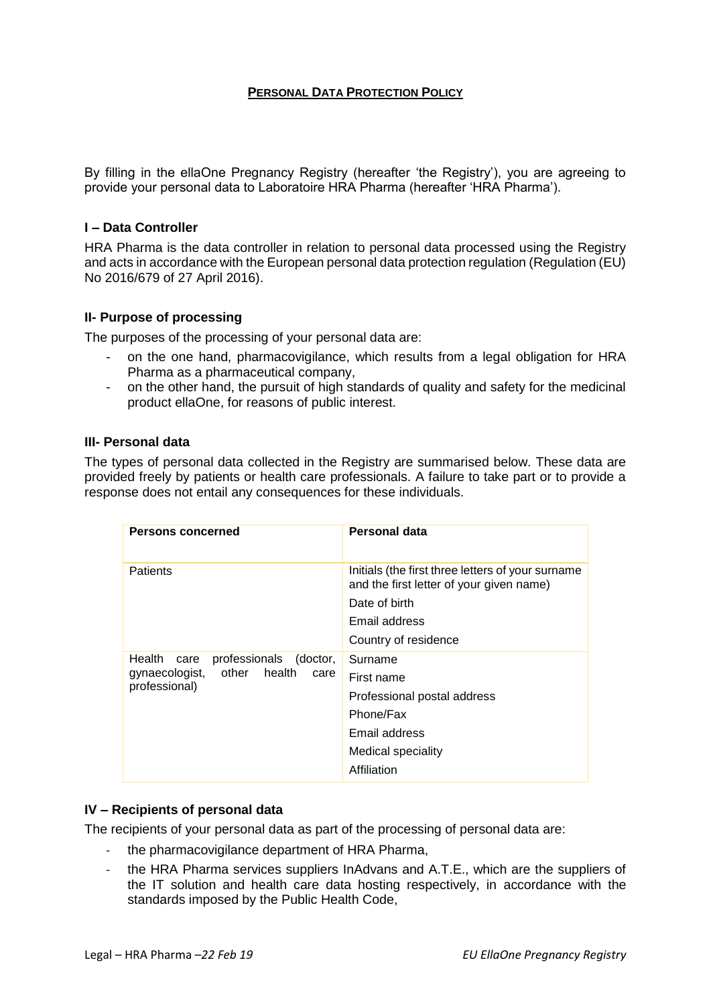## **PERSONAL DATA PROTECTION POLICY**

By filling in the ellaOne Pregnancy Registry (hereafter 'the Registry'), you are agreeing to provide your personal data to Laboratoire HRA Pharma (hereafter 'HRA Pharma').

#### **I – Data Controller**

HRA Pharma is the data controller in relation to personal data processed using the Registry and acts in accordance with the European personal data protection regulation (Regulation (EU) No 2016/679 of 27 April 2016).

### **II- Purpose of processing**

The purposes of the processing of your personal data are:

- on the one hand, pharmacovigilance, which results from a legal obligation for HRA Pharma as a pharmaceutical company,
- on the other hand, the pursuit of high standards of quality and safety for the medicinal product ellaOne, for reasons of public interest.

#### **III- Personal data**

The types of personal data collected in the Registry are summarised below. These data are provided freely by patients or health care professionals. A failure to take part or to provide a response does not entail any consequences for these individuals.

| <b>Persons concerned</b>                                                                               | Personal data                                                                                 |
|--------------------------------------------------------------------------------------------------------|-----------------------------------------------------------------------------------------------|
| <b>Patients</b>                                                                                        | Initials (the first three letters of your surname<br>and the first letter of your given name) |
|                                                                                                        | Date of birth                                                                                 |
|                                                                                                        | Email address                                                                                 |
|                                                                                                        | Country of residence                                                                          |
| Health<br>professionals<br>(doctor,<br>care<br>health<br>gynaecologist, other<br>care<br>professional) | Surname                                                                                       |
|                                                                                                        | First name                                                                                    |
|                                                                                                        | Professional postal address                                                                   |
|                                                                                                        | Phone/Fax                                                                                     |
|                                                                                                        | Email address                                                                                 |
|                                                                                                        | <b>Medical speciality</b>                                                                     |
|                                                                                                        | Affiliation                                                                                   |

### **IV – Recipients of personal data**

The recipients of your personal data as part of the processing of personal data are:

- the pharmacovigilance department of HRA Pharma,
- the HRA Pharma services suppliers InAdvans and A.T.E., which are the suppliers of the IT solution and health care data hosting respectively, in accordance with the standards imposed by the Public Health Code,